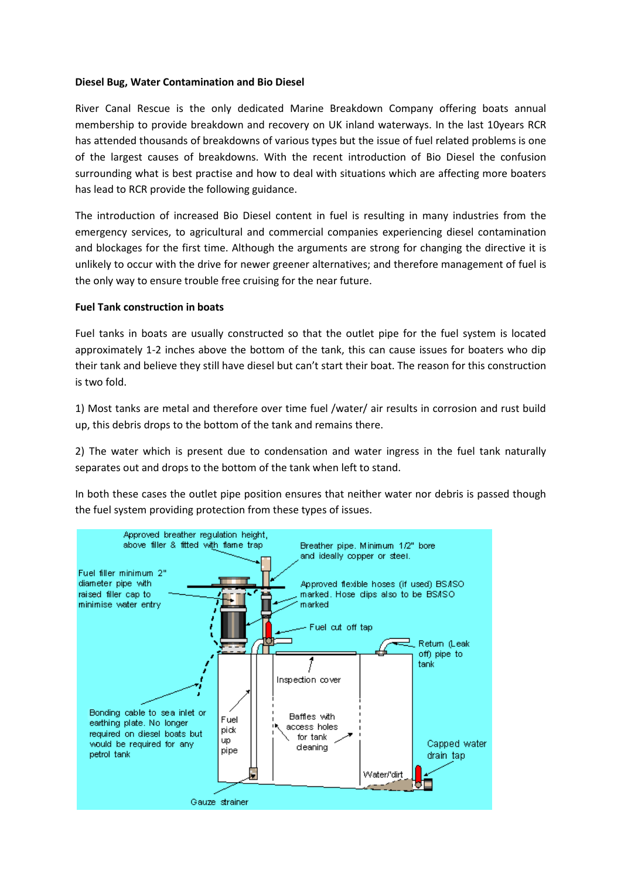# **Diesel Bug, Water Contamination and Bio Diesel**

River Canal Rescue is the only dedicated Marine Breakdown Company offering boats annual membership to provide breakdown and recovery on UK inland waterways. In the last 10years RCR has attended thousands of breakdowns of various types but the issue of fuel related problems is one of the largest causes of breakdowns. With the recent introduction of Bio Diesel the confusion surrounding what is best practise and how to deal with situations which are affecting more boaters has lead to RCR provide the following guidance.

The introduction of increased Bio Diesel content in fuel is resulting in many industries from the emergency services, to agricultural and commercial companies experiencing diesel contamination and blockages for the first time. Although the arguments are strong for changing the directive it is unlikely to occur with the drive for newer greener alternatives; and therefore management of fuel is the only way to ensure trouble free cruising for the near future.

### **Fuel Tank construction in boats**

Fuel tanks in boats are usually constructed so that the outlet pipe for the fuel system is located approximately 1-2 inches above the bottom of the tank, this can cause issues for boaters who dip their tank and believe they still have diesel but can't start their boat. The reason for this construction is two fold.

1) Most tanks are metal and therefore over time fuel /water/ air results in corrosion and rust build up, this debris drops to the bottom of the tank and remains there.

2) The water which is present due to condensation and water ingress in the fuel tank naturally separates out and drops to the bottom of the tank when left to stand.

In both these cases the outlet pipe position ensures that neither water nor debris is passed though the fuel system providing protection from these types of issues.

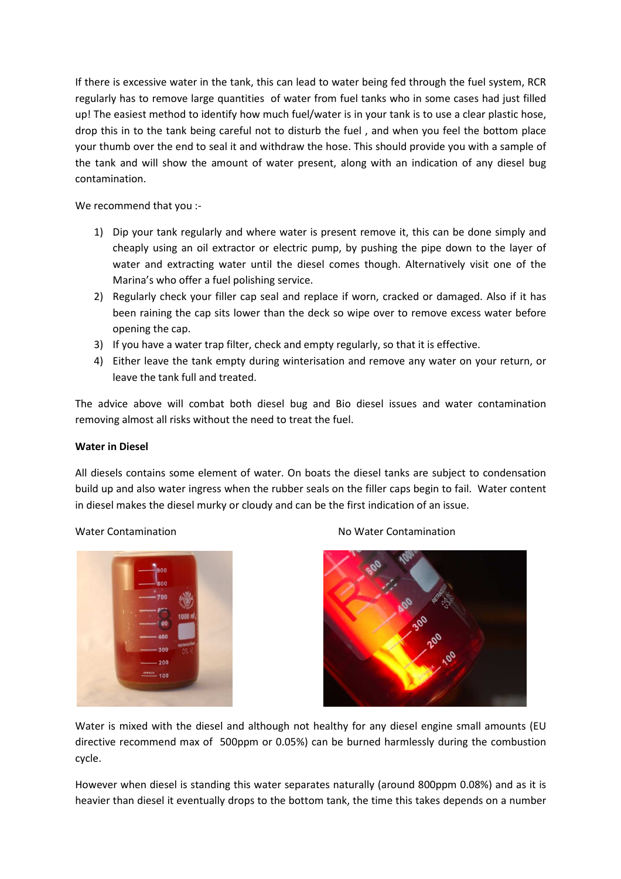If there is excessive water in the tank, this can lead to water being fed through the fuel system, RCR regularly has to remove large quantities of water from fuel tanks who in some cases had just filled up! The easiest method to identify how much fuel/water is in your tank is to use a clear plastic hose, drop this in to the tank being careful not to disturb the fuel , and when you feel the bottom place your thumb over the end to seal it and withdraw the hose. This should provide you with a sample of the tank and will show the amount of water present, along with an indication of any diesel bug contamination.

We recommend that you :-

- 1) Dip your tank regularly and where water is present remove it, this can be done simply and cheaply using an oil extractor or electric pump, by pushing the pipe down to the layer of water and extracting water until the diesel comes though. Alternatively visit one of the Marina's who offer a fuel polishing service.
- 2) Regularly check your filler cap seal and replace if worn, cracked or damaged. Also if it has been raining the cap sits lower than the deck so wipe over to remove excess water before opening the cap.
- 3) If you have a water trap filter, check and empty regularly, so that it is effective.
- 4) Either leave the tank empty during winterisation and remove any water on your return, or leave the tank full and treated.

The advice above will combat both diesel bug and Bio diesel issues and water contamination removing almost all risks without the need to treat the fuel.

# **Water in Diesel**

All diesels contains some element of water. On boats the diesel tanks are subject to condensation build up and also water ingress when the rubber seals on the filler caps begin to fail. Water content in diesel makes the diesel murky or cloudy and can be the first indication of an issue.



# Water Contamination **No Water Contamination** No Water Contamination



Water is mixed with the diesel and although not healthy for any diesel engine small amounts (EU directive recommend max of 500ppm or 0.05%) can be burned harmlessly during the combustion cycle.

However when diesel is standing this water separates naturally (around 800ppm 0.08%) and as it is heavier than diesel it eventually drops to the bottom tank, the time this takes depends on a number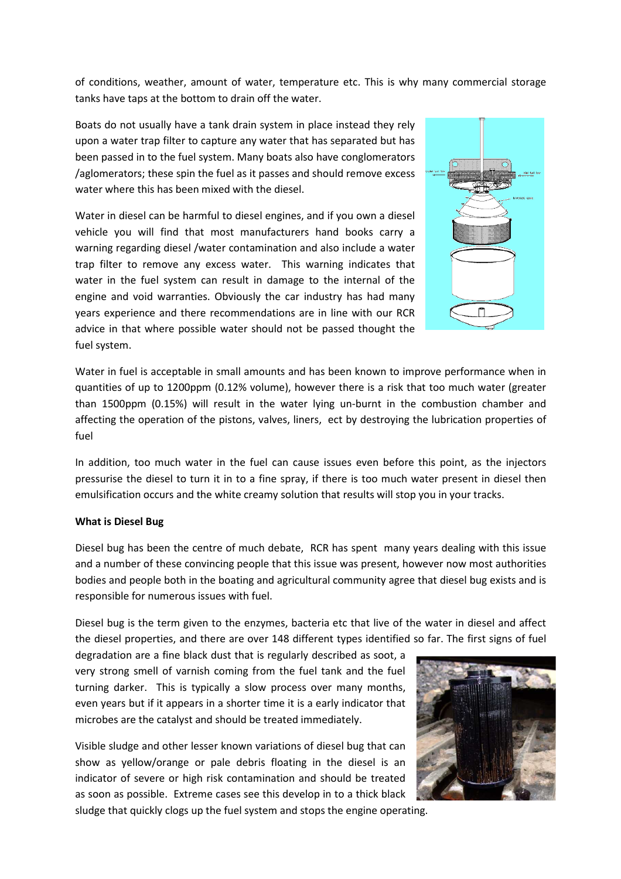of conditions, weather, amount of water, temperature etc. This is why many commercial storage tanks have taps at the bottom to drain off the water.

Boats do not usually have a tank drain system in place instead they rely upon a water trap filter to capture any water that has separated but has been passed in to the fuel system. Many boats also have conglomerators /aglomerators; these spin the fuel as it passes and should remove excess water where this has been mixed with the diesel.

Water in diesel can be harmful to diesel engines, and if you own a diesel vehicle you will find that most manufacturers hand books carry a warning regarding diesel /water contamination and also include a water trap filter to remove any excess water. This warning indicates that water in the fuel system can result in damage to the internal of the engine and void warranties. Obviously the car industry has had many years experience and there recommendations are in line with our RCR advice in that where possible water should not be passed thought the fuel system.



Water in fuel is acceptable in small amounts and has been known to improve performance when in quantities of up to 1200ppm (0.12% volume), however there is a risk that too much water (greater than 1500ppm (0.15%) will result in the water lying un-burnt in the combustion chamber and affecting the operation of the pistons, valves, liners, ect by destroying the lubrication properties of fuel

In addition, too much water in the fuel can cause issues even before this point, as the injectors pressurise the diesel to turn it in to a fine spray, if there is too much water present in diesel then emulsification occurs and the white creamy solution that results will stop you in your tracks.

# **What is Diesel Bug**

Diesel bug has been the centre of much debate, RCR has spent many years dealing with this issue and a number of these convincing people that this issue was present, however now most authorities bodies and people both in the boating and agricultural community agree that diesel bug exists and is responsible for numerous issues with fuel.

Diesel bug is the term given to the enzymes, bacteria etc that live of the water in diesel and affect the diesel properties, and there are over 148 different types identified so far. The first signs of fuel

degradation are a fine black dust that is regularly described as soot, a very strong smell of varnish coming from the fuel tank and the fuel turning darker. This is typically a slow process over many months, even years but if it appears in a shorter time it is a early indicator that microbes are the catalyst and should be treated immediately.

Visible sludge and other lesser known variations of diesel bug that can show as yellow/orange or pale debris floating in the diesel is an indicator of severe or high risk contamination and should be treated as soon as possible. Extreme cases see this develop in to a thick black sludge that quickly clogs up the fuel system and stops the engine operating.

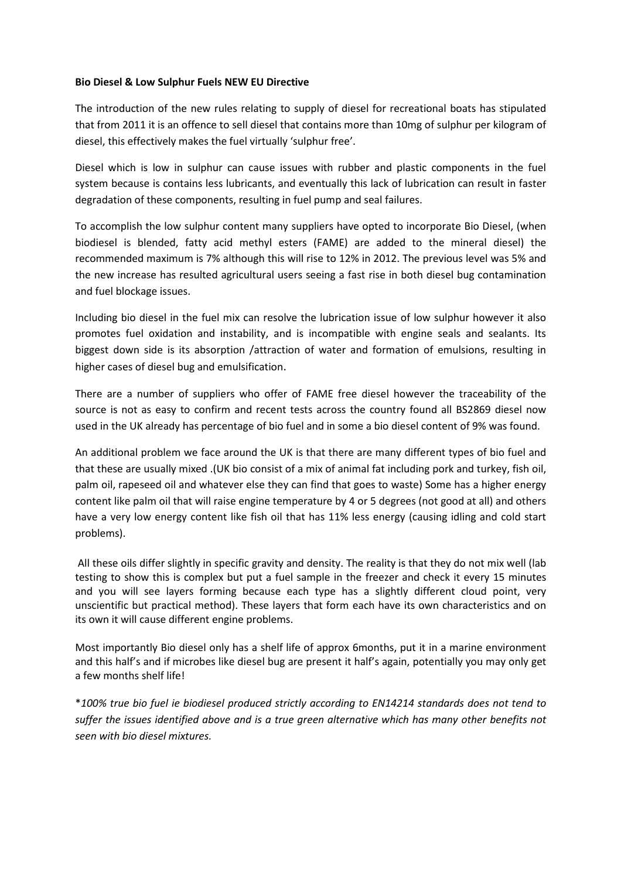# **Bio Diesel & Low Sulphur Fuels NEW EU Directive**

The introduction of the new rules relating to supply of diesel for recreational boats has stipulated that from 2011 it is an offence to sell diesel that contains more than 10mg of sulphur per kilogram of diesel, this effectively makes the fuel virtually 'sulphur free'.

Diesel which is low in sulphur can cause issues with rubber and plastic components in the fuel system because is contains less lubricants, and eventually this lack of lubrication can result in faster degradation of these components, resulting in fuel pump and seal failures.

To accomplish the low sulphur content many suppliers have opted to incorporate Bio Diesel, (when biodiesel is blended, fatty acid methyl esters (FAME) are added to the mineral diesel) the recommended maximum is 7% although this will rise to 12% in 2012. The previous level was 5% and the new increase has resulted agricultural users seeing a fast rise in both diesel bug contamination and fuel blockage issues.

Including bio diesel in the fuel mix can resolve the lubrication issue of low sulphur however it also promotes fuel oxidation and instability, and is incompatible with engine seals and sealants. Its biggest down side is its absorption /attraction of water and formation of emulsions, resulting in higher cases of diesel bug and emulsification.

There are a number of suppliers who offer of FAME free diesel however the traceability of the source is not as easy to confirm and recent tests across the country found all BS2869 diesel now used in the UK already has percentage of bio fuel and in some a bio diesel content of 9% was found.

An additional problem we face around the UK is that there are many different types of bio fuel and that these are usually mixed .(UK bio consist of a mix of animal fat including pork and turkey, fish oil, palm oil, rapeseed oil and whatever else they can find that goes to waste) Some has a higher energy content like palm oil that will raise engine temperature by 4 or 5 degrees (not good at all) and others have a very low energy content like fish oil that has 11% less energy (causing idling and cold start problems).

 All these oils differ slightly in specific gravity and density. The reality is that they do not mix well (lab testing to show this is complex but put a fuel sample in the freezer and check it every 15 minutes and you will see layers forming because each type has a slightly different cloud point, very unscientific but practical method). These layers that form each have its own characteristics and on its own it will cause different engine problems.

Most importantly Bio diesel only has a shelf life of approx 6months, put it in a marine environment and this half's and if microbes like diesel bug are present it half's again, potentially you may only get a few months shelf life!

\**100% true bio fuel ie biodiesel produced strictly according to EN14214 standards does not tend to suffer the issues identified above and is a true green alternative which has many other benefits not seen with bio diesel mixtures.*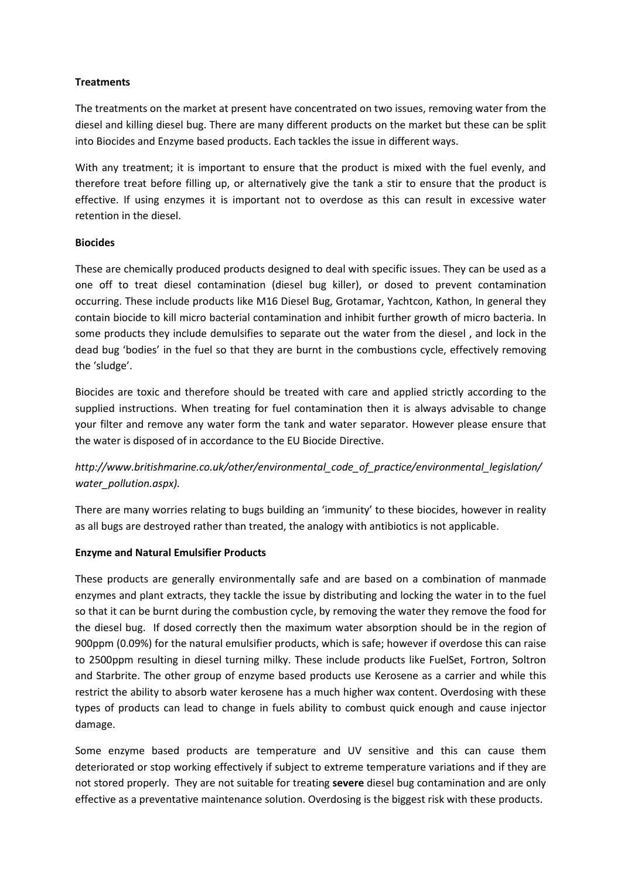# **Treatments**

The treatments on the market at present have concentrated on two issues, removing water from the diesel and killing diesel bug. There are many different products on the market but these can be split into Biocides and Enzyme based products. Each tackles the issue in different ways.

With any treatment; it is important to ensure that the product is mixed with the fuel evenly, and therefore treat before filling up, or alternatively give the tank a stir to ensure that the product is effective. If using enzymes it is important not to overdose as this can result in excessive water retention in the diesel.

# **Biocides**

These are chemically produced products designed to deal with specific issues. They can be used as a one off to treat diesel contamination (diesel bug killer), or dosed to prevent contamination occurring. These include products like M16 Diesel Bug, Grotamar, Yachtcon, Kathon, In general they contain biocide to kill micro bacterial contamination and inhibit further growth of micro bacteria. In some products they include demulsifies to separate out the water from the diesel , and lock in the dead bug 'bodies' in the fuel so that they are burnt in the combustions cycle, effectively removing the 'sludge'.

Biocides are toxic and therefore should be treated with care and applied strictly according to the supplied instructions. When treating for fuel contamination then it is always advisable to change your filter and remove any water form the tank and water separator. However please ensure that the water is disposed of in accordance to the EU Biocide Directive.

# *http://www.britishmarine.co.uk/other/environmental\_code\_of\_practice/environmental\_legislation/ water\_pollution.aspx).*

There are many worries relating to bugs building an 'immunity' to these biocides, however in reality as all bugs are destroyed rather than treated, the analogy with antibiotics is not applicable.

# **Enzyme and Natural Emulsifier Products**

These products are generally environmentally safe and are based on a combination of manmade enzymes and plant extracts, they tackle the issue by distributing and locking the water in to the fuel so that it can be burnt during the combustion cycle, by removing the water they remove the food for the diesel bug. If dosed correctly then the maximum water absorption should be in the region of 900ppm (0.09%) for the natural emulsifier products, which is safe; however if overdose this can raise to 2500ppm resulting in diesel turning milky. These include products like FuelSet, Fortron, Soltron and Starbrite. The other group of enzyme based products use Kerosene as a carrier and while this restrict the ability to absorb water kerosene has a much higher wax content. Overdosing with these types of products can lead to change in fuels ability to combust quick enough and cause injector damage.

Some enzyme based products are temperature and UV sensitive and this can cause them deteriorated or stop working effectively if subject to extreme temperature variations and if they are not stored properly. They are not suitable for treating **severe** diesel bug contamination and are only effective as a preventative maintenance solution. Overdosing is the biggest risk with these products.